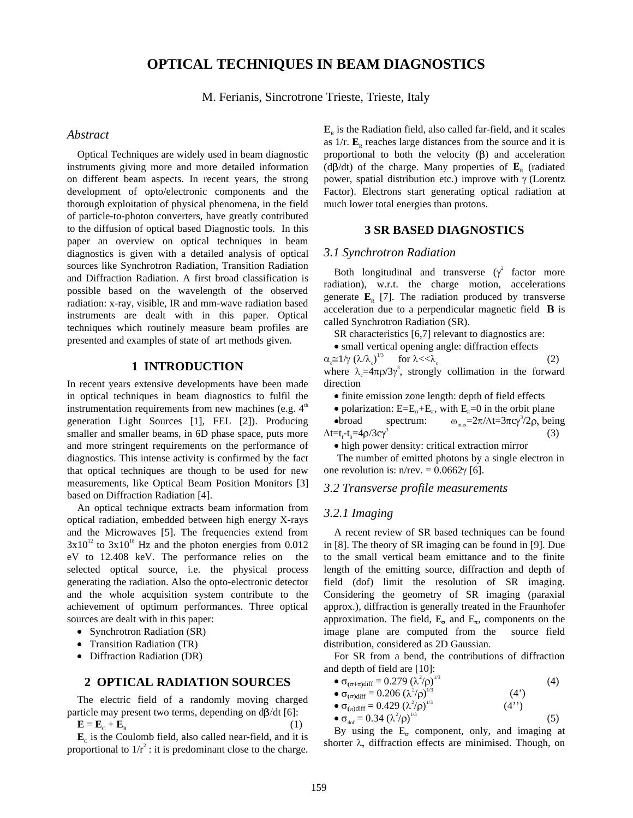# **OPTICAL TECHNIQUES IN BEAM DIAGNOSTICS**

M. Ferianis, Sincrotrone Trieste, Trieste, Italy

### *Abstract*

Optical Techniques are widely used in beam diagnostic instruments giving more and more detailed information on different beam aspects. In recent years, the strong development of opto/electronic components and the thorough exploitation of physical phenomena, in the field of particle-to-photon converters, have greatly contributed to the diffusion of optical based Diagnostic tools. In this paper an overview on optical techniques in beam diagnostics is given with a detailed analysis of optical sources like Synchrotron Radiation, Transition Radiation and Diffraction Radiation. A first broad classification is possible based on the wavelength of the observed radiation: x-ray, visible, IR and mm-wave radiation based instruments are dealt with in this paper. Optical techniques which routinely measure beam profiles are presented and examples of state of art methods given.

### **1 INTRODUCTION**

In recent years extensive developments have been made in optical techniques in beam diagnostics to fulfil the instrumentation requirements from new machines (e.g.  $4<sup>th</sup>$ generation Light Sources [1], FEL [2]). Producing smaller and smaller beams, in 6D phase space, puts more and more stringent requirements on the performance of diagnostics. This intense activity is confirmed by the fact that optical techniques are though to be used for new measurements, like Optical Beam Position Monitors [3] based on Diffraction Radiation [4].

An optical technique extracts beam information from optical radiation, embedded between high energy X-rays and the Microwaves [5]. The frequencies extend from  $3x10^{12}$  to  $3x10^{18}$  Hz and the photon energies from 0.012 eV to 12.408 keV. The performance relies on the selected optical source, i.e. the physical process generating the radiation. Also the opto-electronic detector and the whole acquisition system contribute to the achievement of optimum performances. Three optical sources are dealt with in this paper:

- Synchrotron Radiation (SR)
- · Transition Radiation (TR)
- Diffraction Radiation (DR)

## **2 OPTICAL RADIATION SOURCES**

The electric field of a randomly moving charged particle may present two terms, depending on  $d\beta/dt$  [6]:  $\mathbf{E} = \mathbf{E}_c + \mathbf{E}_R$  (1)

 $\mathbf{E}_c$  is the Coulomb field, also called near-field, and it is proportional to  $1/r^2$ : it is predominant close to the charge.  $\mathbf{E}_{R}$  is the Radiation field, also called far-field, and it scales as  $1/r$ .  $\mathbf{E}_{R}$  reaches large distances from the source and it is proportional to both the velocity  $(\beta)$  and acceleration (d $\beta$ /dt) of the charge. Many properties of  $\mathbf{E}_{R}$  (radiated power, spatial distribution etc.) improve with  $\gamma$  (Lorentz Factor). Electrons start generating optical radiation at much lower total energies than protons.

### **3 SR BASED DIAGNOSTICS**

#### *3.1 Synchrotron Radiation*

Both longitudinal and transverse  $(\gamma^2)$  factor more radiation), w.r.t. the charge motion, accelerations generate  $\mathbf{E}_p$  [7]. The radiation produced by transverse acceleration due to a perpendicular magnetic field B is called Synchrotron Radiation (SR).

SR characteristics [6,7] relevant to diagnostics are:

· small vertical opening angle: diffraction effects  $\alpha_{\rm c} \cong 1/\gamma \left(\lambda/\lambda_{\rm c}\right)^{1/3}$  for  $\lambda << \lambda_{\rm c}$  (2)

where  $\lambda_c = 4\pi \rho/3\gamma^3$ , strongly collimation in the forward direction

· finite emission zone length: depth of field effects

• polarization:  $E=E_{\sigma}+E_{\pi}$ , with  $E_{\pi}=0$  in the orbit plane<br>• broad spectrum:  $\omega_{\text{max}}=2\pi/\Delta t=3\pi c\gamma^3/2\rho$ , bei

• broad spectrum:  $\omega_{\text{max}} = 2\pi/\Delta t = 3\pi c \gamma^3/2\rho$ , being  $\Delta t = t_f - t_0 = 4 \rho / 3 c \gamma^3$ (3)

· high power density: critical extraction mirror

 The number of emitted photons by a single electron in one revolution is:  $n/rev = 0.0662\gamma$  [6].

#### *3.2 Transverse profile measurements*

#### *3.2.1 Imaging*

A recent review of SR based techniques can be found in [8]. The theory of SR imaging can be found in [9]. Due to the small vertical beam emittance and to the finite length of the emitting source, diffraction and depth of field (dof) limit the resolution of SR imaging. Considering the geometry of SR imaging (paraxial approx.), diffraction is generally treated in the Fraunhofer approximation. The field,  $E_{\sigma}$  and  $E_{\pi}$ , components on the image plane are computed from the source field distribution, considered as 2D Gaussian.

For SR from a bend, the contributions of diffraction and depth of field are [10]:

- $\sigma_{\left(\sigma+\pi\right) \text{diff}} = 0.279 \; (\lambda^2/\rho)$  $^{1/3}$  (4)
- $\sigma_{\text{(o)}diff}} = 0.206 \, (\lambda^2/\rho)$  $(4')$
- $\sigma_{(\pi)\text{diff}} = 0.429 \; (\lambda^2/\rho)$  $(4")$
- $\sigma_{\text{dof}} = 0.34 \, (\lambda^2/\rho)$  $^{1/3}$  (5)

By using the  $E_{\sigma}$  component, only, and imaging at shorter  $\lambda$ , diffraction effects are minimised. Though, on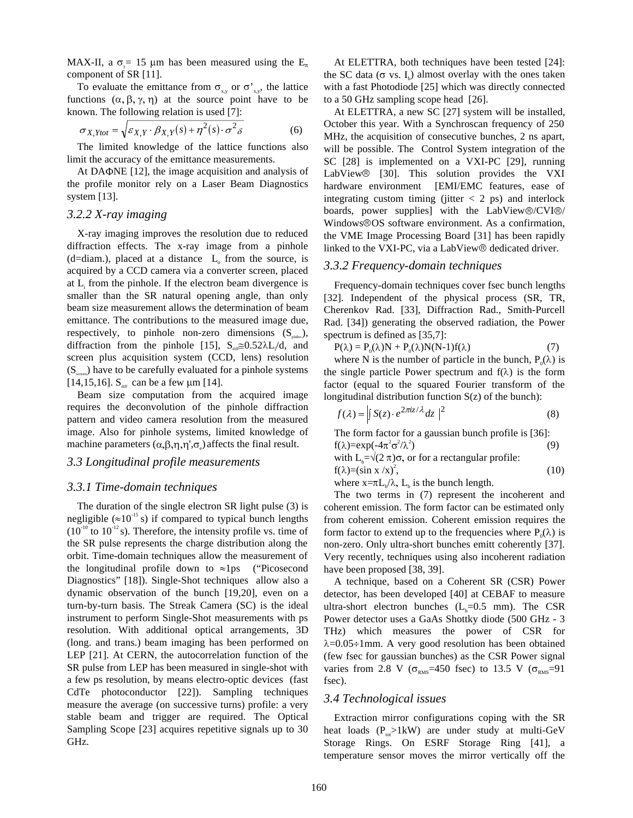MAX-II, a  $\sigma = 15$  µm has been measured using the E<sub> $\pi$ </sub> component of SR [11].

To evaluate the emittance from  $\sigma_{xy}$  or  $\sigma'_{xy}$ , the lattice functions  $(\alpha, \beta, \gamma, \eta)$  at the source point have to be known. The following relation is used [7]:

$$
\sigma_{X,Ytot} = \sqrt{\varepsilon_{X,Y} \cdot \beta_{X,Y}(s) + \eta^2(s) \cdot \sigma^2 \delta}
$$
 (6)

The limited knowledge of the lattice functions also limit the accuracy of the emittance measurements.

At DA $\Phi$ NE [12], the image acquisition and analysis of the profile monitor rely on a Laser Beam Diagnostics system [13].

#### *3.2.2 X-ray imaging*

X-ray imaging improves the resolution due to reduced diffraction effects. The x-ray image from a pinhole  $(d=$ diam.), placed at a distance  $L_0$  from the source, is acquired by a CCD camera via a converter screen, placed at  $L<sub>i</sub>$  from the pinhole. If the electron beam divergence is smaller than the SR natural opening angle, than only beam size measurement allows the determination of beam emittance. The contributions to the measured image due, respectively, to pinhole non-zero dimensions  $(S_{\text{pinbo}})$ , diffraction from the pinhole [15],  $S_{\text{diff}} \approx 0.52 \lambda L / d$ , and screen plus acquisition system (CCD, lens) resolution  $(S_{\text{stress}})$  have to be carefully evaluated for a pinhole systems [14,15,16].  $S_{\text{diff}}$  can be a few  $\mu$ m [14].

Beam size computation from the acquired image requires the deconvolution of the pinhole diffraction pattern and video camera resolution from the measured image. Also for pinhole systems, limited knowledge of machine parameters  $(\alpha, \beta, \eta, \eta', \sigma_{e})$  affects the final result.

### *3.3 Longitudinal profile measurements*

#### *3.3.1 Time-domain techniques*

The duration of the single electron SR light pulse (3) is negligible ( $\approx 10^{-15}$  s) if compared to typical bunch lengths  $(10^{-10}$  to  $10^{-12}$  s). Therefore, the intensity profile vs. time of the SR pulse represents the charge distribution along the orbit. Time-domain techniques allow the measurement of the longitudinal profile down to  $\approx$  1ps ("Picosecond" Diagnostics" [18]). Single-Shot techniques allow also a dynamic observation of the bunch [19,20], even on a turn-by-turn basis. The Streak Camera (SC) is the ideal instrument to perform Single-Shot measurements with ps resolution. With additional optical arrangements, 3D (long. and trans.) beam imaging has been performed on LEP [21]. At CERN, the autocorrelation function of the SR pulse from LEP has been measured in single-shot with a few ps resolution, by means electro-optic devices (fast CdTe photoconductor [22]). Sampling techniques measure the average (on successive turns) profile: a very stable beam and trigger are required. The Optical Sampling Scope [23] acquires repetitive signals up to 30 GHz.

At ELETTRA, both techniques have been tested [24]: the SC data ( $\sigma$  vs. I<sub>b</sub>) almost overlay with the ones taken with a fast Photodiode [25] which was directly connected to a 50 GHz sampling scope head [26].

At ELETTRA, a new SC [27] system will be installed, October this year. With a Synchroscan frequency of 250 MHz, the acquisition of consecutive bunches, 2 ns apart, will be possible. The Control System integration of the SC [28] is implemented on a VXI-PC [29], running LabView<sup>®</sup> [30]. This solution provides the VXI hardware environment [EMI/EMC features, ease of integrating custom timing (jitter  $< 2$  ps) and interlock boards, power supplies] with the LabView®/CVI®/ Windows<sup>®</sup>OS software environment. As a confirmation, the VME Image Processing Board [31] has been rapidly linked to the VXI-PC, via a LabView<sup>®</sup> dedicated driver.

#### *3.3.2 Frequency-domain techniques*

Frequency-domain techniques cover fsec bunch lengths [32]. Independent of the physical process (SR, TR, Cherenkov Rad. [33], Diffraction Rad., Smith-Purcell Rad. [34]) generating the observed radiation, the Power spectrum is defined as [35,7]:

$$
P(\lambda) = P_0(\lambda)N + P_0(\lambda)N(N-1)f(\lambda)
$$
\n(7)

where N is the number of particle in the bunch,  $P_0(\lambda)$  is the single particle Power spectrum and  $f(\lambda)$  is the form factor (equal to the squared Fourier transform of the longitudinal distribution function  $S(z)$  of the bunch):

$$
f(\lambda) = \left| \int S(z) \cdot e^{2\pi i z/\lambda} dz \right|^2 \tag{8}
$$

The form factor for a gaussian bunch profile is [36]: f( $\lambda$ )=exp(-4 $\pi^2 \sigma^2 / \lambda^2$  $(9)$ 

with 
$$
L_b = \sqrt{(2 \pi)\sigma}
$$
, or for a rectangular profile:  
\n $f(\lambda) = (\sin x / x)^2$ , (10)

where  $x = \pi L_b / \lambda$ ,  $L_b$  is the bunch length.

The two terms in (7) represent the incoherent and coherent emission. The form factor can be estimated only from coherent emission. Coherent emission requires the form factor to extend up to the frequencies where  $P_0(\lambda)$  is non-zero. Only ultra-short bunches emitt coherently [37]. Very recently, techniques using also incoherent radiation have been proposed [38, 39].

A technique, based on a Coherent SR (CSR) Power detector, has been developed [40] at CEBAF to measure ultra-short electron bunches  $(L_b=0.5 \text{ mm})$ . The CSR Power detector uses a GaAs Shottky diode (500 GHz - 3 THz) which measures the power of CSR for  $\lambda$ =0.05÷1mm. A very good resolution has been obtained (few fsec for gaussian bunches) as the CSR Power signal varies from 2.8 V ( $\sigma_{RMS}$ =450 fsec) to 13.5 V ( $\sigma_{RMS}$ =91 fsec).

### *3.4 Technological issues*

Extraction mirror configurations coping with the SR heat loads  $(P_{tot} > 1kW)$  are under study at multi-GeV Storage Rings. On ESRF Storage Ring [41], a temperature sensor moves the mirror vertically off the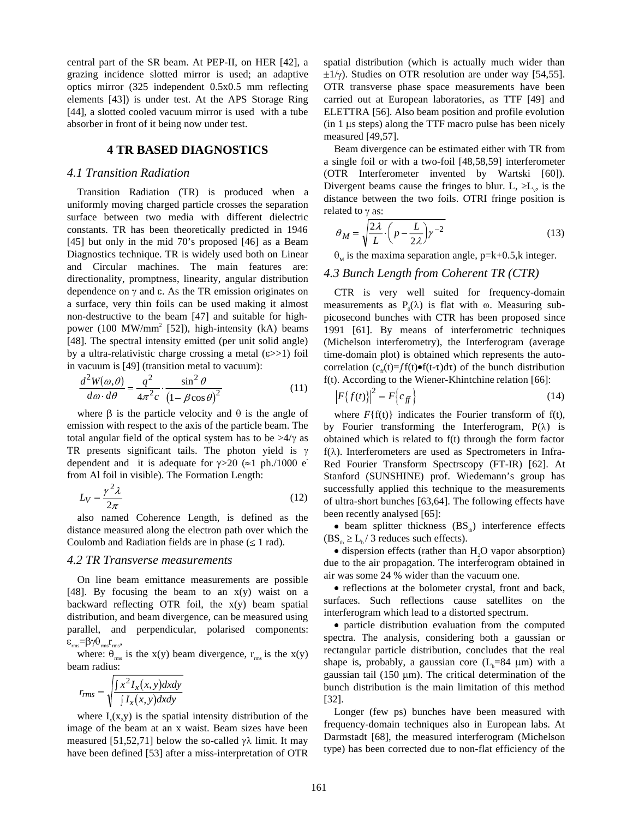central part of the SR beam. At PEP-II, on HER [42], a grazing incidence slotted mirror is used; an adaptive optics mirror (325 independent 0.5x0.5 mm reflecting elements [43]) is under test. At the APS Storage Ring [44], a slotted cooled vacuum mirror is used with a tube absorber in front of it being now under test.

### **4 TR BASED DIAGNOSTICS**

### *4.1 Transition Radiation*

Transition Radiation (TR) is produced when a uniformly moving charged particle crosses the separation surface between two media with different dielectric constants. TR has been theoretically predicted in 1946 [45] but only in the mid 70's proposed [46] as a Beam Diagnostics technique. TR is widely used both on Linear and Circular machines. The main features are: directionality, promptness, linearity, angular distribution dependence on  $\gamma$  and  $\varepsilon$ . As the TR emission originates on a surface, very thin foils can be used making it almost non-destructive to the beam [47] and suitable for highpower (100 MW/mm<sup>2</sup> [52]), high-intensity (kA) beams [48]. The spectral intensity emitted (per unit solid angle) by a ultra-relativistic charge crossing a metal  $(\epsilon \gg 1)$  foil in vacuum is [49] (transition metal to vacuum):

$$
\frac{d^2W(\omega,\theta)}{d\omega \cdot d\theta} = \frac{q^2}{4\pi^2 c} \cdot \frac{\sin^2\theta}{\left(1 - \beta\cos\theta\right)^2} \tag{11}
$$

where  $\beta$  is the particle velocity and  $\theta$  is the angle of emission with respect to the axis of the particle beam. The total angular field of the optical system has to be  $>4/\gamma$  as TR presents significant tails. The photon yield is  $\gamma$ dependent and it is adequate for  $\gamma > 20$  ( $\approx$ 1 ph./1000 e from Al foil in visible). The Formation Length:

$$
L_V = \frac{\gamma^2 \lambda}{2\pi} \tag{12}
$$

also named Coherence Length, is defined as the distance measured along the electron path over which the Coulomb and Radiation fields are in phase  $( \leq 1$  rad).

#### *4.2 TR Transverse measurements*

On line beam emittance measurements are possible [48]. By focusing the beam to an  $x(y)$  waist on a backward reflecting OTR foil, the x(y) beam spatial distribution, and beam divergence, can be measured using parallel, and perpendicular, polarised components:  $\varepsilon_{\rm rms} = \beta \gamma \theta_{\rm rms} r_{\rm rms}$ 

where:  $\theta_{\text{rms}}$  is the x(y) beam divergence,  $r_{\text{rms}}$  is the x(y) beam radius:

$$
r_{rms} = \sqrt{\frac{\int x^2 I_x(x, y) dx dy}{\int I_x(x, y) dx dy}}
$$

where  $I_{x}(x,y)$  is the spatial intensity distribution of the image of the beam at an x waist. Beam sizes have been measured [51,52,71] below the so-called  $\gamma \lambda$  limit. It may have been defined [53] after a miss-interpretation of OTR spatial distribution (which is actually much wider than  $\pm 1/\gamma$ ). Studies on OTR resolution are under way [54,55]. OTR transverse phase space measurements have been carried out at European laboratories, as TTF [49] and ELETTRA [56]. Also beam position and profile evolution  $(in 1 \mu s steps)$  along the TTF macro pulse has been nicely measured [49,57].

Beam divergence can be estimated either with TR from a single foil or with a two-foil [48,58,59] interferometer (OTR Interferometer invented by Wartski [60]). Divergent beams cause the fringes to blur. L,  $\geq L_v$ , is the distance between the two foils. OTRI fringe position is related to  $\gamma$  as:<br> $\theta_M = \sqrt{\frac{2\lambda}{\lambda} \cdot \left(p - \frac{L}{2\lambda}\right) \gamma^{-2}}$  (13) distance between the two foils. OTRI fringe position is related to  $\gamma$  as:

$$
\theta_M = \sqrt{\frac{2\lambda}{L} \cdot \left(p - \frac{L}{2\lambda}\right) \gamma^{-2}}\tag{13}
$$

 $\theta_M$  is the maxima separation angle, p=k+0.5,k integer.

### *4.3 Bunch Length from Coherent TR (CTR)*

CTR is very well suited for frequency-domain measurements as  $P_0(\lambda)$  is flat with  $\omega$ . Measuring subpicosecond bunches with CTR has been proposed since 1991 [61]. By means of interferometric techniques (Michelson interferometry), the Interferogram (average time-domain plot) is obtained which represents the autocorrelation  $(c_{\theta}(t)=f f(t)\bullet f(t-\tau)d\tau)$  of the bunch distribution f(t). According to the Wiener-Khintchine relation [66]:

$$
\left| F\{f(t)\} \right|^2 = F\left\{ c_{ff} \right\} \tag{14}
$$

where  $F{f(t)}$  indicates the Fourier transform of  $f(t)$ , by Fourier transforming the Interferogram,  $P(\lambda)$  is obtained which is related to f(t) through the form factor  $f(\lambda)$ . Interferometers are used as Spectrometers in Infra-Red Fourier Transform Spectrscopy (FT-IR) [62]. At Stanford (SUNSHINE) prof. Wiedemann's group has successfully applied this technique to the measurements of ultra-short bunches [63,64]. The following effects have been recently analysed [65]:

• beam splitter thickness  $(BS_+)$  interference effects  $(BS<sub>b</sub> \ge L<sub>b</sub>/3$  reduces such effects).

 $\bullet$  dispersion effects (rather than  $H_2O$  vapor absorption) due to the air propagation. The interferogram obtained in air was some 24 % wider than the vacuum one.

· reflections at the bolometer crystal, front and back, surfaces. Such reflections cause satellites on the interferogram which lead to a distorted spectrum.

· particle distribution evaluation from the computed spectra. The analysis, considering both a gaussian or rectangular particle distribution, concludes that the real shape is, probably, a gaussian core  $(L_b=84 \mu m)$  with a gaussian tail (150  $\mu$ m). The critical determination of the bunch distribution is the main limitation of this method [32].

Longer (few ps) bunches have been measured with frequency-domain techniques also in European labs. At Darmstadt [68], the measured interferogram (Michelson type) has been corrected due to non-flat efficiency of the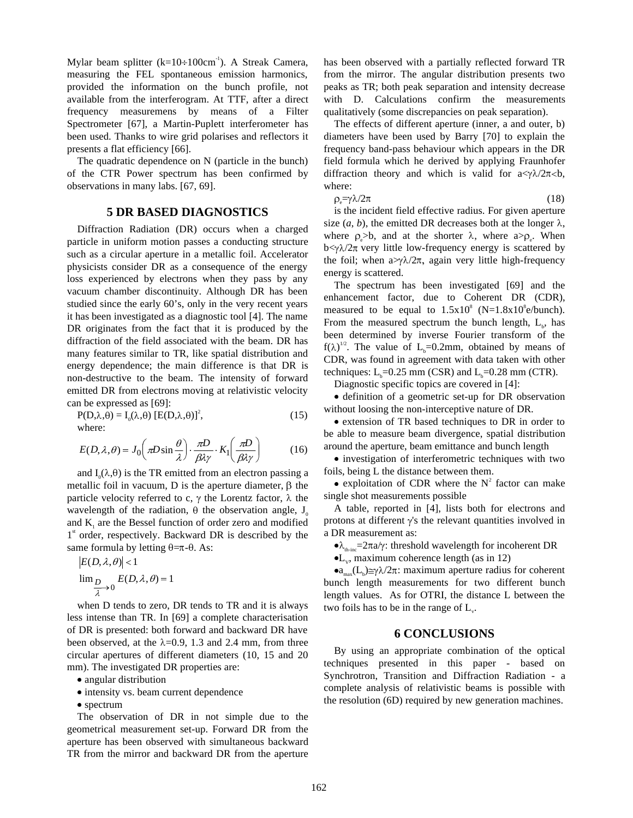Mylar beam splitter  $(k=10 \div 100 \text{cm}^{-1})$ . A Streak Camera, measuring the FEL spontaneous emission harmonics, provided the information on the bunch profile, not available from the interferogram. At TTF, after a direct frequency measuremens by means of a Filter Spectrometer [67], a Martin-Puplett interferometer has been used. Thanks to wire grid polarises and reflectors it presents a flat efficiency [66].

The quadratic dependence on N (particle in the bunch) of the CTR Power spectrum has been confirmed by observations in many labs. [67, 69].

#### **5 DR BASED DIAGNOSTICS**

Diffraction Radiation (DR) occurs when a charged particle in uniform motion passes a conducting structure such as a circular aperture in a metallic foil. Accelerator physicists consider DR as a consequence of the energy loss experienced by electrons when they pass by any vacuum chamber discontinuity. Although DR has been studied since the early 60's, only in the very recent years it has been investigated as a diagnostic tool [4]. The name DR originates from the fact that it is produced by the diffraction of the field associated with the beam. DR has many features similar to TR, like spatial distribution and energy dependence; the main difference is that DR is non-destructive to the beam. The intensity of forward emitted DR from electrons moving at relativistic velocity can be expressed as [69]:

$$
P(D,\lambda,\theta) = I_0(\lambda,\theta) [E(D,\lambda,\theta)]^2,
$$
  
where: (15)

$$
E(D, \lambda, \theta) = J_0 \left( \pi D \sin \frac{\theta}{\lambda} \right) \cdot \frac{\pi D}{\beta \lambda \gamma} \cdot K_1 \left( \frac{\pi D}{\beta \lambda \gamma} \right) \tag{16}
$$

and  $I_0(\lambda,\theta)$  is the TR emitted from an electron passing a metallic foil in vacuum, D is the aperture diameter,  $\beta$  the particle velocity referred to c,  $\gamma$  the Lorentz factor,  $\lambda$  the wavelength of the radiation,  $\theta$  the observation angle, J<sub>0</sub> and  $K<sub>1</sub>$  are the Bessel function of order zero and modified  $1<sup>st</sup>$  order, respectively. Backward DR is described by the same formula by letting  $\theta = \pi - \theta$ . As:

$$
|E(D, \lambda, \theta)| < 1
$$
  

$$
\lim_{\substack{D \ \lambda \to 0}} E(D, \lambda, \theta) = 1
$$

when D tends to zero, DR tends to TR and it is always less intense than TR. In [69] a complete characterisation of DR is presented: both forward and backward DR have been observed, at the  $\lambda$ =0.9, 1.3 and 2.4 mm, from three circular apertures of different diameters (10, 15 and 20 mm). The investigated DR properties are:

- · angular distribution
- · intensity vs. beam current dependence
- spectrum

The observation of DR in not simple due to the geometrical measurement set-up. Forward DR from the aperture has been observed with simultaneous backward TR from the mirror and backward DR from the aperture

has been observed with a partially reflected forward TR from the mirror. The angular distribution presents two peaks as TR; both peak separation and intensity decrease with D. Calculations confirm the measurements qualitatively (some discrepancies on peak separation).

The effects of different aperture (inner, a and outer, b) diameters have been used by Barry [70] to explain the frequency band-pass behaviour which appears in the DR field formula which he derived by applying Fraunhofer diffraction theory and which is valid for  $a < \gamma \lambda / 2\pi < b$ , where:

$$
\rho_e = \gamma \lambda / 2\pi \tag{18}
$$

is the incident field effective radius. For given aperture size  $(a, b)$ , the emitted DR decreases both at the longer  $\lambda$ , where  $\rho_e > b$ , and at the shorter  $\lambda$ , where  $a > \rho_e$ . When  $b < \gamma \lambda / 2\pi$  very little low-frequency energy is scattered by the foil; when  $a$  $\gamma \lambda /2\pi$ , again very little high-frequency energy is scattered.

The spectrum has been investigated [69] and the enhancement factor, due to Coherent DR (CDR), measured to be equal to  $1.5x10^8$  (N= $1.8x10^8$ e/bunch). From the measured spectrum the bunch length,  $L_{b}$ , has been determined by inverse Fourier transform of the  $f(\lambda)^{1/2}$ . The value of L<sub>b</sub>=0.2mm, obtained by means of CDR, was found in agreement with data taken with other techniques:  $L_b = 0.25$  mm (CSR) and  $L_b = 0.28$  mm (CTR).

Diagnostic specific topics are covered in [4]:

· definition of a geometric set-up for DR observation without loosing the non-interceptive nature of DR.

· extension of TR based techniques to DR in order to be able to measure beam divergence, spatial distribution around the aperture, beam emittance and bunch length

· investigation of interferometric techniques with two foils, being L the distance between them.

• exploitation of CDR where the  $N^2$  factor can make single shot measurements possible

A table, reported in [4], lists both for electrons and protons at different  $\gamma$ 's the relevant quantities involved in a DR measurement as:

 $\lambda_{\text{th-inc}} = 2\pi a/\gamma$ : threshold wavelength for incoherent DR

 $\bullet$ L<sub>v</sub>, maximum coherence length (as in 12)

 $\bullet a_{\text{max}}(L_b) \cong \gamma \lambda / 2\pi$ : maximum aperture radius for coherent bunch length measurements for two different bunch length values. As for OTRI, the distance L between the two foils has to be in the range of  $L_{\nu}$ .

#### **6 CONCLUSIONS**

By using an appropriate combination of the optical techniques presented in this paper - based on Synchrotron, Transition and Diffraction Radiation - a complete analysis of relativistic beams is possible with the resolution (6D) required by new generation machines.